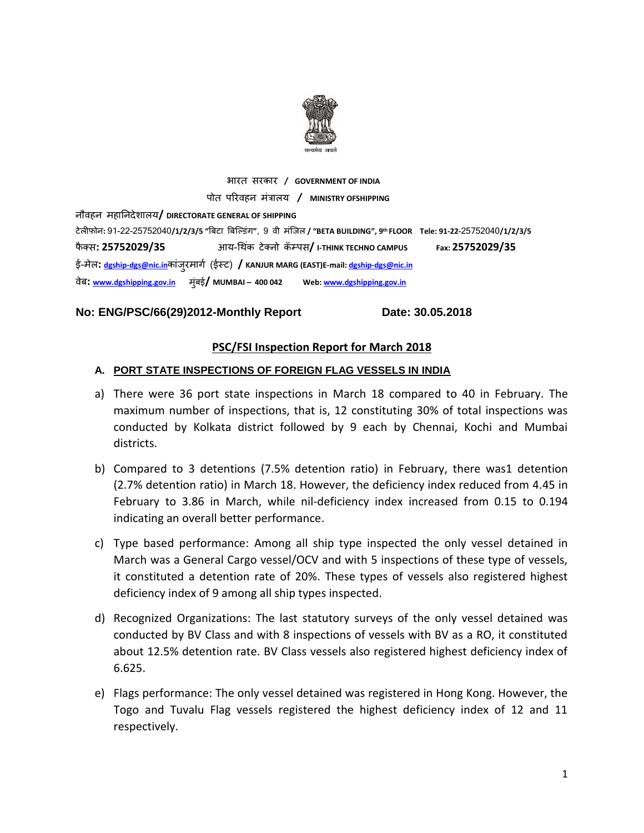

भारत सरकार **/ GOVERNMENT OF INDIA** पोत पररवहन मंत्रालय **/ MINISTRY OFSHIPPING** नौवहन महाननदेशालय**/ DIRECTORATE GENERAL OF SHIPPING** टेलीफोन**:** 91-22-25752040**/1/2/3/5 "**बिटा बिल्डंग**"**, 9 वी मंलिल **/ "BETA BUILDING", 9 th FLOOR Tele: 91-22-**25752040**/1/2/3/5**  फै क् स**: 25752029/35** आय-थ कं टेक्नो कॅम्पस**/ I-THINK TECHNO CAMPUS Fax: 25752029/35** ई-मेल**: [dgship-dgs@nic.in](mailto:dgship-dgs@nic.in)**कांिुरमागग (ईस्ट) **/ KANJUR MARG (EAST)E-mail[: dgship-dgs@nic.in](mailto:dgship-dgs@nic.in)** वेि**: [www.dgshipping.gov.in](http://www.dgshipping.gov.in/)** मुंिई**/ MUMBAI – 400 042 Web[: www.dgshipping.gov.in](http://www.dgshipping.gov.in/)**

#### **No: ENG/PSC/66(29)2012-Monthly Report Date: 30.05.2018**

#### **PSC/FSI Inspection Report for March 2018**

#### **A. PORT STATE INSPECTIONS OF FOREIGN FLAG VESSELS IN INDIA**

- a) There were 36 port state inspections in March 18 compared to 40 in February. The maximum number of inspections, that is, 12 constituting 30% of total inspections was conducted by Kolkata district followed by 9 each by Chennai, Kochi and Mumbai districts.
- b) Compared to 3 detentions (7.5% detention ratio) in February, there was1 detention (2.7% detention ratio) in March 18. However, the deficiency index reduced from 4.45 in February to 3.86 in March, while nil-deficiency index increased from 0.15 to 0.194 indicating an overall better performance.
- c) Type based performance: Among all ship type inspected the only vessel detained in March was a General Cargo vessel/OCV and with 5 inspections of these type of vessels, it constituted a detention rate of 20%. These types of vessels also registered highest deficiency index of 9 among all ship types inspected.
- d) Recognized Organizations: The last statutory surveys of the only vessel detained was conducted by BV Class and with 8 inspections of vessels with BV as a RO, it constituted about 12.5% detention rate. BV Class vessels also registered highest deficiency index of 6.625.
- e) Flags performance: The only vessel detained was registered in Hong Kong. However, the Togo and Tuvalu Flag vessels registered the highest deficiency index of 12 and 11 respectively.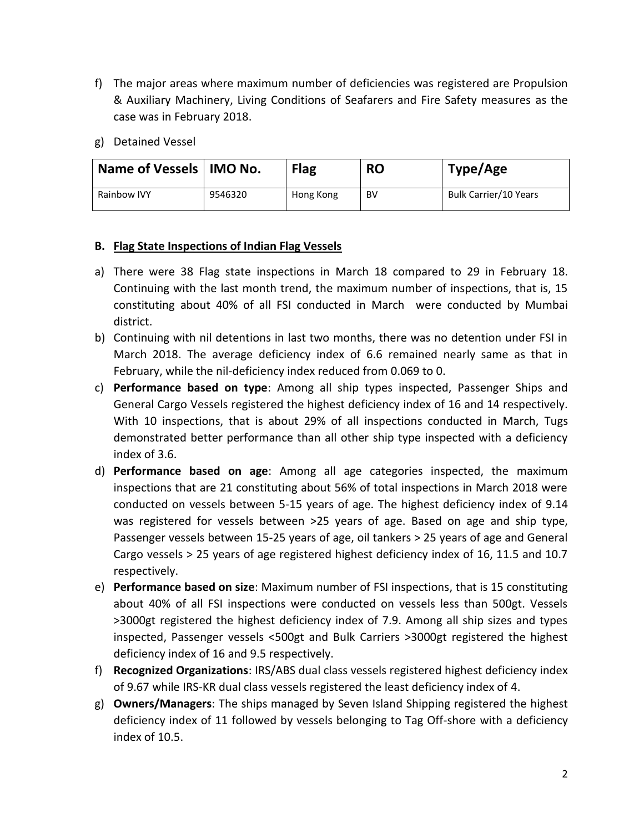- f) The major areas where maximum number of deficiencies was registered are Propulsion & Auxiliary Machinery, Living Conditions of Seafarers and Fire Safety measures as the case was in February 2018.
- g) Detained Vessel

| Name of Vessels   IMO No. |         | <b>Flag</b> | <b>RO</b> | Type/Age              |
|---------------------------|---------|-------------|-----------|-----------------------|
| <b>Rainbow IVY</b>        | 9546320 | Hong Kong   | BV        | Bulk Carrier/10 Years |

### **B. Flag State Inspections of Indian Flag Vessels**

- a) There were 38 Flag state inspections in March 18 compared to 29 in February 18. Continuing with the last month trend, the maximum number of inspections, that is, 15 constituting about 40% of all FSI conducted in March were conducted by Mumbai district.
- b) Continuing with nil detentions in last two months, there was no detention under FSI in March 2018. The average deficiency index of 6.6 remained nearly same as that in February, while the nil-deficiency index reduced from 0.069 to 0.
- c) **Performance based on type**: Among all ship types inspected, Passenger Ships and General Cargo Vessels registered the highest deficiency index of 16 and 14 respectively. With 10 inspections, that is about 29% of all inspections conducted in March, Tugs demonstrated better performance than all other ship type inspected with a deficiency index of 3.6.
- d) **Performance based on age**: Among all age categories inspected, the maximum inspections that are 21 constituting about 56% of total inspections in March 2018 were conducted on vessels between 5-15 years of age. The highest deficiency index of 9.14 was registered for vessels between >25 years of age. Based on age and ship type, Passenger vessels between 15-25 years of age, oil tankers > 25 years of age and General Cargo vessels > 25 years of age registered highest deficiency index of 16, 11.5 and 10.7 respectively.
- e) **Performance based on size**: Maximum number of FSI inspections, that is 15 constituting about 40% of all FSI inspections were conducted on vessels less than 500gt. Vessels >3000gt registered the highest deficiency index of 7.9. Among all ship sizes and types inspected, Passenger vessels <500gt and Bulk Carriers >3000gt registered the highest deficiency index of 16 and 9.5 respectively.
- f) **Recognized Organizations**: IRS/ABS dual class vessels registered highest deficiency index of 9.67 while IRS-KR dual class vessels registered the least deficiency index of 4.
- g) **Owners/Managers**: The ships managed by Seven Island Shipping registered the highest deficiency index of 11 followed by vessels belonging to Tag Off-shore with a deficiency index of 10.5.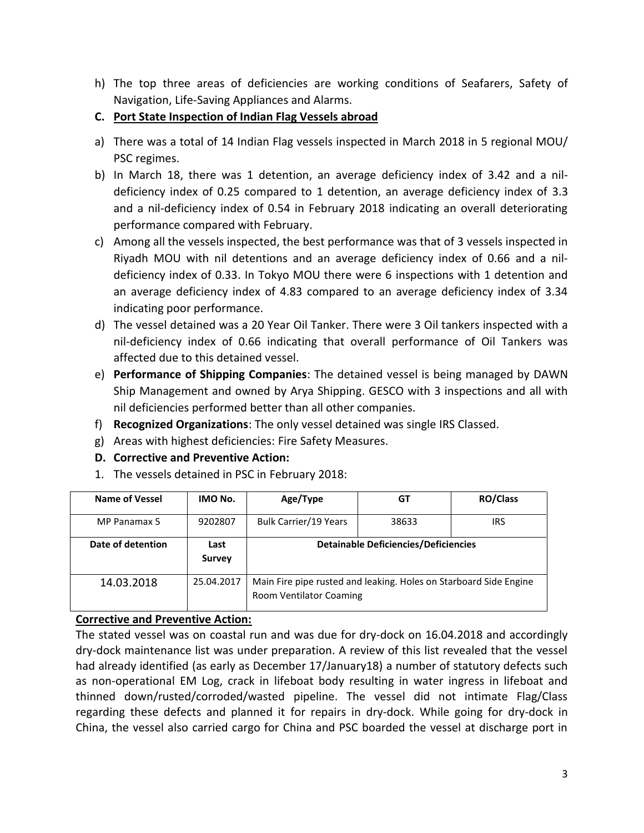h) The top three areas of deficiencies are working conditions of Seafarers, Safety of Navigation, Life-Saving Appliances and Alarms.

## **C. Port State Inspection of Indian Flag Vessels abroad**

- a) There was a total of 14 Indian Flag vessels inspected in March 2018 in 5 regional MOU/ PSC regimes.
- b) In March 18, there was 1 detention, an average deficiency index of 3.42 and a nildeficiency index of 0.25 compared to 1 detention, an average deficiency index of 3.3 and a nil-deficiency index of 0.54 in February 2018 indicating an overall deteriorating performance compared with February.
- c) Among all the vessels inspected, the best performance was that of 3 vessels inspected in Riyadh MOU with nil detentions and an average deficiency index of 0.66 and a nildeficiency index of 0.33. In Tokyo MOU there were 6 inspections with 1 detention and an average deficiency index of 4.83 compared to an average deficiency index of 3.34 indicating poor performance.
- d) The vessel detained was a 20 Year Oil Tanker. There were 3 Oil tankers inspected with a nil-deficiency index of 0.66 indicating that overall performance of Oil Tankers was affected due to this detained vessel.
- e) **Performance of Shipping Companies**: The detained vessel is being managed by DAWN Ship Management and owned by Arya Shipping. GESCO with 3 inspections and all with nil deficiencies performed better than all other companies.
- f) **Recognized Organizations**: The only vessel detained was single IRS Classed.
- g) Areas with highest deficiencies: Fire Safety Measures.
- **D. Corrective and Preventive Action:**
- 1. The vessels detained in PSC in February 2018:

| Name of Vessel    | IMO No.               | Age/Type                                                                                     | GT                                          | <b>RO/Class</b> |
|-------------------|-----------------------|----------------------------------------------------------------------------------------------|---------------------------------------------|-----------------|
| MP Panamax 5      | 9202807               | <b>Bulk Carrier/19 Years</b>                                                                 | 38633                                       | IRS             |
| Date of detention | Last<br><b>Survey</b> |                                                                                              | <b>Detainable Deficiencies/Deficiencies</b> |                 |
| 14.03.2018        | 25.04.2017            | Main Fire pipe rusted and leaking. Holes on Starboard Side Engine<br>Room Ventilator Coaming |                                             |                 |

### **Corrective and Preventive Action:**

The stated vessel was on coastal run and was due for dry-dock on 16.04.2018 and accordingly dry-dock maintenance list was under preparation. A review of this list revealed that the vessel had already identified (as early as December 17/January18) a number of statutory defects such as non-operational EM Log, crack in lifeboat body resulting in water ingress in lifeboat and thinned down/rusted/corroded/wasted pipeline. The vessel did not intimate Flag/Class regarding these defects and planned it for repairs in dry-dock. While going for dry-dock in China, the vessel also carried cargo for China and PSC boarded the vessel at discharge port in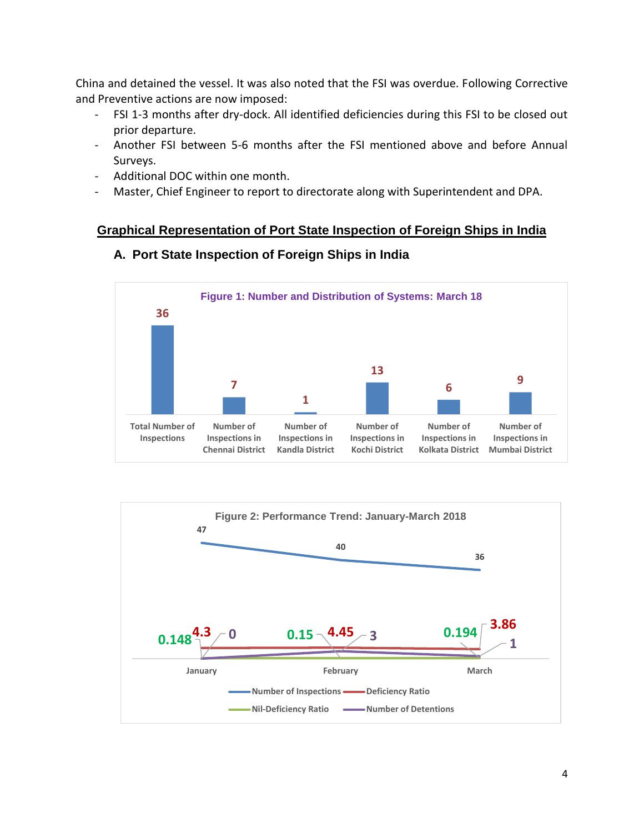China and detained the vessel. It was also noted that the FSI was overdue. Following Corrective and Preventive actions are now imposed:

- FSI 1-3 months after dry-dock. All identified deficiencies during this FSI to be closed out prior departure.
- Another FSI between 5-6 months after the FSI mentioned above and before Annual Surveys.
- Additional DOC within one month.
- Master, Chief Engineer to report to directorate along with Superintendent and DPA.

### **Graphical Representation of Port State Inspection of Foreign Ships in India**



#### **A. Port State Inspection of Foreign Ships in India**

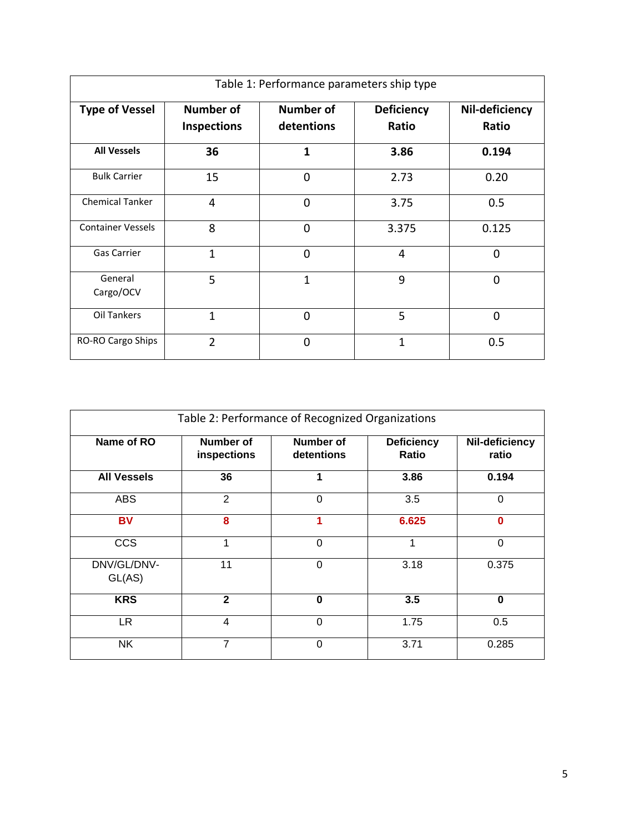| Table 1: Performance parameters ship type |                                        |                                |                            |                         |  |  |
|-------------------------------------------|----------------------------------------|--------------------------------|----------------------------|-------------------------|--|--|
| <b>Type of Vessel</b>                     | <b>Number of</b><br><b>Inspections</b> | <b>Number of</b><br>detentions | <b>Deficiency</b><br>Ratio | Nil-deficiency<br>Ratio |  |  |
| <b>All Vessels</b>                        | 36                                     | 1                              | 3.86                       | 0.194                   |  |  |
| <b>Bulk Carrier</b>                       | 15                                     | $\Omega$                       | 2.73                       | 0.20                    |  |  |
| <b>Chemical Tanker</b>                    | 4                                      | $\Omega$                       | 3.75                       | 0.5                     |  |  |
| <b>Container Vessels</b>                  | 8                                      | $\Omega$                       | 3.375                      | 0.125                   |  |  |
| <b>Gas Carrier</b>                        | $\overline{1}$                         | $\overline{0}$                 | 4                          | 0                       |  |  |
| General<br>Cargo/OCV                      | 5                                      | $\mathbf{1}$                   | 9                          | $\Omega$                |  |  |
| Oil Tankers                               | $\overline{1}$                         | $\mathbf{0}$                   | 5                          | 0                       |  |  |
| RO-RO Cargo Ships                         | $\mathfrak z$                          | $\Omega$                       | 1                          | 0.5                     |  |  |

| Table 2: Performance of Recognized Organizations |                          |                                |                            |                         |  |  |  |
|--------------------------------------------------|--------------------------|--------------------------------|----------------------------|-------------------------|--|--|--|
| Name of RO                                       | Number of<br>inspections | <b>Number of</b><br>detentions | <b>Deficiency</b><br>Ratio | Nil-deficiency<br>ratio |  |  |  |
| <b>All Vessels</b>                               | 36                       |                                | 3.86                       | 0.194                   |  |  |  |
| <b>ABS</b>                                       | $\overline{2}$           | $\Omega$                       | 3.5                        | $\Omega$                |  |  |  |
| <b>BV</b>                                        | 8                        | 1                              | 6.625                      | $\Omega$                |  |  |  |
| <b>CCS</b>                                       | 1                        | $\Omega$                       | 1                          | $\Omega$                |  |  |  |
| DNV/GL/DNV-<br>GL(AS)                            | 11                       | $\Omega$                       | 3.18                       | 0.375                   |  |  |  |
| <b>KRS</b>                                       | $\mathbf{2}$             | $\bf{0}$                       | 3.5                        | $\bf{0}$                |  |  |  |
| LR.                                              | 4                        | $\Omega$                       | 1.75                       | 0.5                     |  |  |  |
| NΚ                                               | 7                        | $\Omega$                       | 3.71                       | 0.285                   |  |  |  |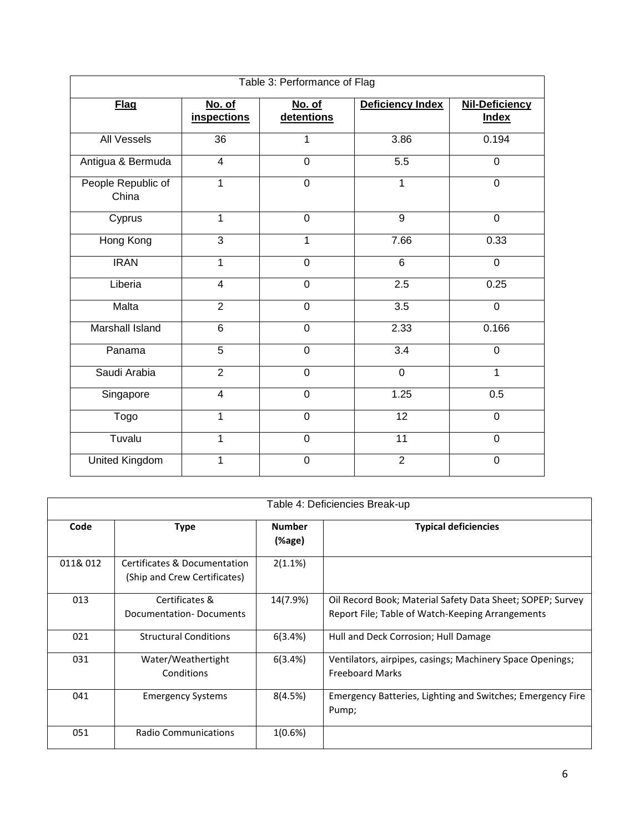| Table 3: Performance of Flag |                              |                      |                  |                                       |  |  |  |
|------------------------------|------------------------------|----------------------|------------------|---------------------------------------|--|--|--|
| <b>Flag</b>                  | No. of<br><b>inspections</b> | No. of<br>detentions | Deficiency Index | <b>Nil-Deficiency</b><br><b>Index</b> |  |  |  |
| <b>All Vessels</b>           | 36                           | 1                    | 3.86             | 0.194                                 |  |  |  |
| Antigua & Bermuda            | $\overline{4}$               | $\mathbf 0$          | 5.5              | $\overline{0}$                        |  |  |  |
| People Republic of<br>China  | 1                            | $\overline{0}$       | 1                | $\mathbf 0$                           |  |  |  |
| Cyprus                       | 1                            | $\mathbf 0$          | 9                | $\overline{0}$                        |  |  |  |
| Hong Kong                    | 3                            | 1                    | 7.66             | 0.33                                  |  |  |  |
| <b>IRAN</b>                  | 1                            | $\mathbf 0$          | 6                | $\mathbf 0$                           |  |  |  |
| Liberia                      | 4                            | $\Omega$             | 2.5              | 0.25                                  |  |  |  |
| Malta                        | $\overline{2}$               | $\mathbf 0$          | $\overline{3.5}$ | $\mathbf 0$                           |  |  |  |
| Marshall Island              | 6                            | $\mathbf 0$          | 2.33             | 0.166                                 |  |  |  |
| Panama                       | 5                            | $\mathbf 0$          | $\overline{3.4}$ | $\mathbf 0$                           |  |  |  |
| Saudi Arabia                 | $\overline{2}$               | $\overline{0}$       | $\overline{0}$   | 1                                     |  |  |  |
| Singapore                    | $\overline{4}$               | $\mathbf 0$          | 1.25             | 0.5                                   |  |  |  |
| Togo                         | 1                            | $\mathbf 0$          | 12               | $\mathbf 0$                           |  |  |  |
| Tuvalu                       | 1                            | $\mathbf 0$          | 11               | $\mathbf 0$                           |  |  |  |
| United Kingdom               | 1                            | $\mathbf 0$          | $\overline{2}$   | $\mathbf 0$                           |  |  |  |

|          | Table 4: Deficiencies Break-up                               |                     |                                                                                                                |  |  |  |
|----------|--------------------------------------------------------------|---------------------|----------------------------------------------------------------------------------------------------------------|--|--|--|
| Code     | Type                                                         | <b>Number</b><br>(% | <b>Typical deficiencies</b>                                                                                    |  |  |  |
| 011& 012 | Certificates & Documentation<br>(Ship and Crew Certificates) | 2(1.1%)             |                                                                                                                |  |  |  |
| 013      | Certificates &<br>Documentation-Documents                    | 14(7.9%)            | Oil Record Book; Material Safety Data Sheet; SOPEP; Survey<br>Report File; Table of Watch-Keeping Arrangements |  |  |  |
| 021      | <b>Structural Conditions</b>                                 | 6(3.4%)             | Hull and Deck Corrosion; Hull Damage                                                                           |  |  |  |
| 031      | Water/Weathertight<br>Conditions                             | 6(3.4%)             | Ventilators, airpipes, casings; Machinery Space Openings;<br><b>Freeboard Marks</b>                            |  |  |  |
| 041      | <b>Emergency Systems</b>                                     | 8(4.5%)             | Emergency Batteries, Lighting and Switches; Emergency Fire<br>Pump;                                            |  |  |  |
| 051      | <b>Radio Communications</b>                                  | 1(0.6%)             |                                                                                                                |  |  |  |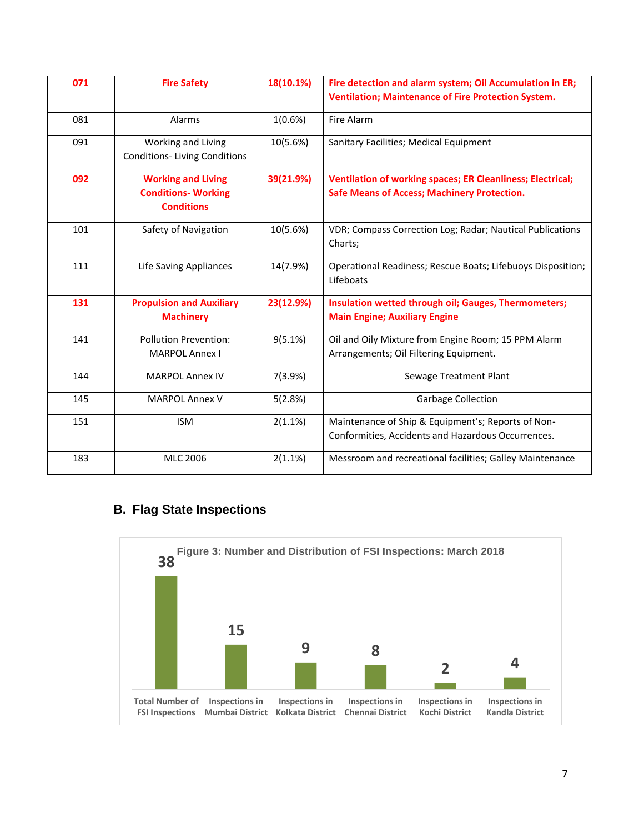| 071 | <b>Fire Safety</b>                                                           | 18(10.1%) | Fire detection and alarm system; Oil Accumulation in ER;<br><b>Ventilation; Maintenance of Fire Protection System.</b>  |
|-----|------------------------------------------------------------------------------|-----------|-------------------------------------------------------------------------------------------------------------------------|
| 081 | Alarms                                                                       | 1(0.6%)   | Fire Alarm                                                                                                              |
| 091 | Working and Living<br><b>Conditions-Living Conditions</b>                    | 10(5.6%)  | Sanitary Facilities; Medical Equipment                                                                                  |
| 092 | <b>Working and Living</b><br><b>Conditions- Working</b><br><b>Conditions</b> | 39(21.9%) | <b>Ventilation of working spaces; ER Cleanliness; Electrical;</b><br><b>Safe Means of Access; Machinery Protection.</b> |
| 101 | Safety of Navigation                                                         | 10(5.6%)  | VDR; Compass Correction Log; Radar; Nautical Publications<br>Charts;                                                    |
| 111 | Life Saving Appliances                                                       | 14(7.9%)  | Operational Readiness; Rescue Boats; Lifebuoys Disposition;<br>Lifeboats                                                |
| 131 | <b>Propulsion and Auxiliary</b><br><b>Machinery</b>                          | 23(12.9%) | Insulation wetted through oil; Gauges, Thermometers;<br><b>Main Engine; Auxiliary Engine</b>                            |
| 141 | <b>Pollution Prevention:</b><br><b>MARPOL Annex I</b>                        | 9(5.1%)   | Oil and Oily Mixture from Engine Room; 15 PPM Alarm<br>Arrangements; Oil Filtering Equipment.                           |
| 144 | <b>MARPOL Annex IV</b>                                                       | 7(3.9%)   | <b>Sewage Treatment Plant</b>                                                                                           |
| 145 | <b>MARPOL Annex V</b>                                                        | 5(2.8%)   | <b>Garbage Collection</b>                                                                                               |
| 151 | <b>ISM</b>                                                                   | 2(1.1%)   | Maintenance of Ship & Equipment's; Reports of Non-<br>Conformities, Accidents and Hazardous Occurrences.                |
| 183 | <b>MLC 2006</b>                                                              | 2(1.1%)   | Messroom and recreational facilities; Galley Maintenance                                                                |

# **B. Flag State Inspections**

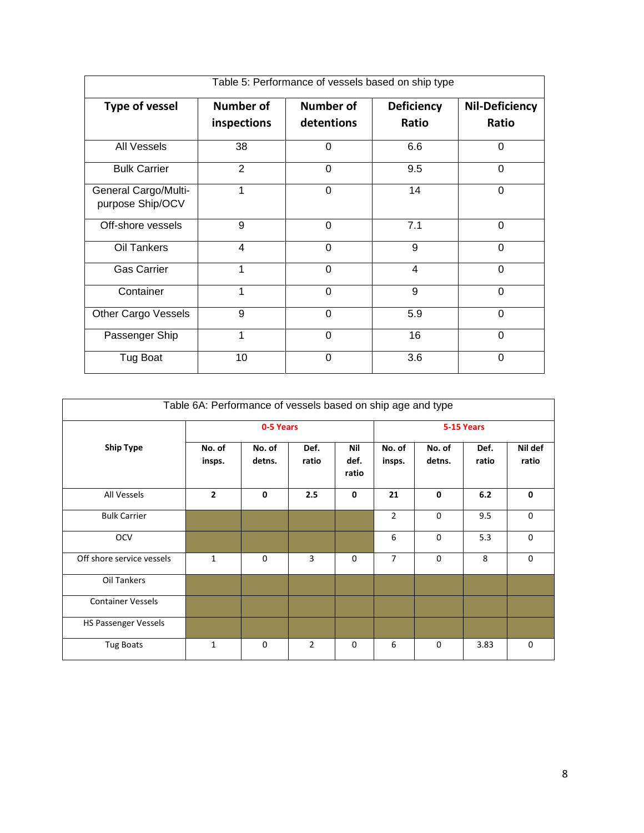| Table 5: Performance of vessels based on ship type |                |                                |                |                |  |  |  |
|----------------------------------------------------|----------------|--------------------------------|----------------|----------------|--|--|--|
| Type of vessel                                     | Number of      | Number of<br><b>Deficiency</b> |                |                |  |  |  |
|                                                    | inspections    | detentions                     | Ratio          | Ratio          |  |  |  |
| <b>All Vessels</b>                                 | 38             | $\Omega$                       | 6.6            | $\Omega$       |  |  |  |
| <b>Bulk Carrier</b>                                | $\overline{2}$ | 0                              | 9.5            | 0              |  |  |  |
| <b>General Cargo/Multi-</b><br>purpose Ship/OCV    | 1              | $\Omega$                       | 14             | $\Omega$       |  |  |  |
| Off-shore vessels                                  | 9              | $\Omega$                       | 7.1            | $\Omega$       |  |  |  |
| Oil Tankers                                        | 4              | $\Omega$                       | 9              | 0              |  |  |  |
| <b>Gas Carrier</b>                                 | 1              | $\Omega$                       | $\overline{4}$ | 0              |  |  |  |
| Container                                          | 1              | $\mathbf 0$                    | 9              | $\overline{0}$ |  |  |  |
| Other Cargo Vessels                                | 9              | $\Omega$                       | 5.9            | $\Omega$       |  |  |  |
| Passenger Ship                                     | 1              | $\Omega$                       | 16             | 0              |  |  |  |
| Tug Boat                                           | 10             | $\Omega$                       | 3.6            | $\Omega$       |  |  |  |

| Table 6A: Performance of vessels based on ship age and type |                  |                  |                |                      |                  |                  |               |                  |
|-------------------------------------------------------------|------------------|------------------|----------------|----------------------|------------------|------------------|---------------|------------------|
|                                                             |                  | 0-5 Years        |                |                      |                  |                  | 5-15 Years    |                  |
| <b>Ship Type</b>                                            | No. of<br>insps. | No. of<br>detns. | Def.<br>ratio  | Nil<br>def.<br>ratio | No. of<br>insps. | No. of<br>detns. | Def.<br>ratio | Nil def<br>ratio |
| All Vessels                                                 | $\overline{2}$   | $\mathbf{0}$     | 2.5            | $\mathbf 0$          | 21               | $\mathbf{0}$     | 6.2           | 0                |
| <b>Bulk Carrier</b>                                         |                  |                  |                |                      | $\overline{2}$   | $\Omega$         | 9.5           | $\mathbf 0$      |
| <b>OCV</b>                                                  |                  |                  |                |                      | 6                | $\mathbf 0$      | 5.3           | 0                |
| Off shore service vessels                                   | $\mathbf{1}$     | $\Omega$         | 3              | $\Omega$             | $\overline{7}$   | $\mathbf 0$      | 8             | 0                |
| Oil Tankers                                                 |                  |                  |                |                      |                  |                  |               |                  |
| <b>Container Vessels</b>                                    |                  |                  |                |                      |                  |                  |               |                  |
| HS Passenger Vessels                                        |                  |                  |                |                      |                  |                  |               |                  |
| Tug Boats                                                   | 1                | $\mathbf 0$      | $\overline{2}$ | $\mathbf 0$          | 6                | $\mathbf 0$      | 3.83          | $\mathbf 0$      |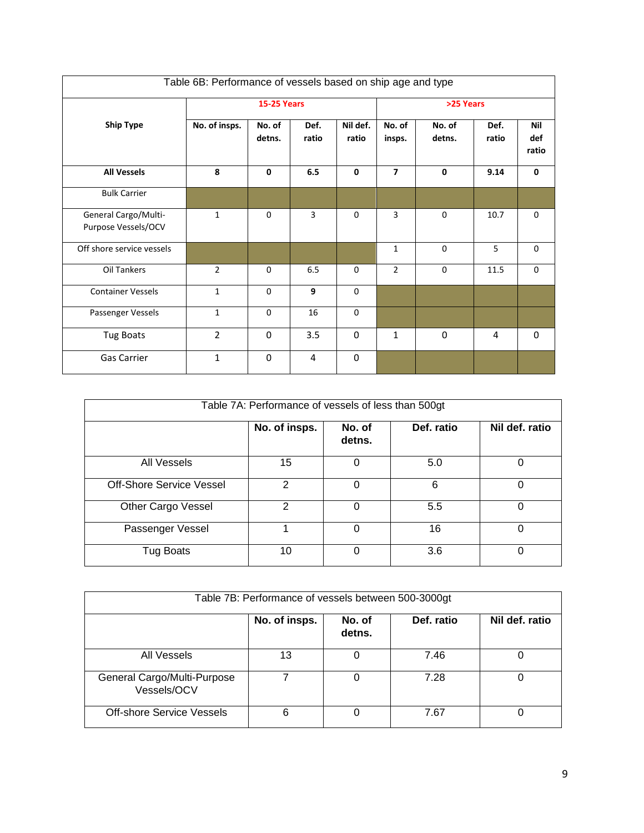| Table 6B: Performance of vessels based on ship age and type |                |                    |               |                   |                  |                  |               |                            |
|-------------------------------------------------------------|----------------|--------------------|---------------|-------------------|------------------|------------------|---------------|----------------------------|
|                                                             |                | <b>15-25 Years</b> |               |                   |                  | >25 Years        |               |                            |
| <b>Ship Type</b>                                            | No. of insps.  | No. of<br>detns.   | Def.<br>ratio | Nil def.<br>ratio | No. of<br>insps. | No. of<br>detns. | Def.<br>ratio | <b>Nil</b><br>def<br>ratio |
| <b>All Vessels</b>                                          | 8              | $\mathbf 0$        | 6.5           | $\mathbf{0}$      | $\overline{7}$   | $\mathbf{0}$     | 9.14          | $\mathbf{0}$               |
| <b>Bulk Carrier</b>                                         |                |                    |               |                   |                  |                  |               |                            |
| General Cargo/Multi-<br>Purpose Vessels/OCV                 | $\mathbf{1}$   | $\mathbf 0$        | 3             | $\Omega$          | 3                | $\mathbf 0$      | 10.7          | $\Omega$                   |
| Off shore service vessels                                   |                |                    |               |                   | $\mathbf{1}$     | $\mathbf 0$      | 5             | $\mathbf 0$                |
| Oil Tankers                                                 | $\overline{2}$ | $\Omega$           | 6.5           | $\Omega$          | $\overline{2}$   | $\Omega$         | 11.5          | $\mathbf 0$                |
| <b>Container Vessels</b>                                    | $\mathbf{1}$   | $\Omega$           | 9             | $\Omega$          |                  |                  |               |                            |
| Passenger Vessels                                           | $\mathbf{1}$   | $\Omega$           | 16            | $\mathbf 0$       |                  |                  |               |                            |
| <b>Tug Boats</b>                                            | $\overline{2}$ | $\Omega$           | 3.5           | $\Omega$          | $\mathbf{1}$     | $\Omega$         | 4             | $\Omega$                   |
| Gas Carrier                                                 | $\mathbf{1}$   | $\Omega$           | 4             | $\Omega$          |                  |                  |               |                            |

| Table 7A: Performance of vessels of less than 500gt |               |                  |            |                |  |  |  |
|-----------------------------------------------------|---------------|------------------|------------|----------------|--|--|--|
|                                                     | No. of insps. | No. of<br>detns. | Def. ratio | Nil def. ratio |  |  |  |
| <b>All Vessels</b>                                  | 15            | $\Omega$         | 5.0        | 0              |  |  |  |
| <b>Off-Shore Service Vessel</b>                     | 2             | 0                | 6          | 0              |  |  |  |
| Other Cargo Vessel                                  | 2             | $\Omega$         | 5.5        | 0              |  |  |  |
| Passenger Vessel                                    |               | $\Omega$         | 16         | 0              |  |  |  |
| Tug Boats                                           | 10            | 0                | 3.6        | 0              |  |  |  |

| Table 7B: Performance of vessels between 500-3000gt |               |                  |            |                |  |  |  |
|-----------------------------------------------------|---------------|------------------|------------|----------------|--|--|--|
|                                                     | No. of insps. | No. of<br>detns. | Def. ratio | Nil def. ratio |  |  |  |
| All Vessels                                         | 13            | 0                | 7.46       |                |  |  |  |
| General Cargo/Multi-Purpose<br>Vessels/OCV          |               | 0                | 7.28       |                |  |  |  |
| <b>Off-shore Service Vessels</b>                    | 6             |                  | 7.67       |                |  |  |  |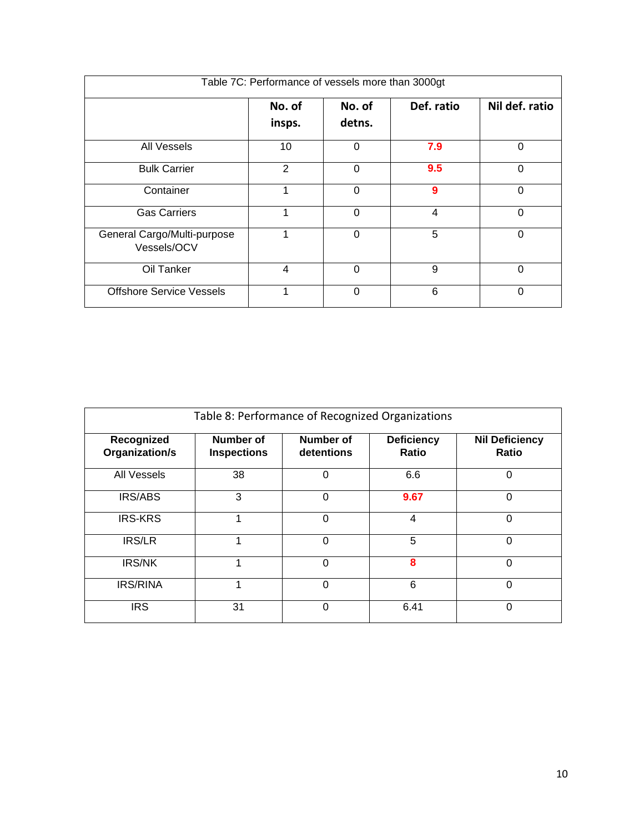| Table 7C: Performance of vessels more than 3000gt |                  |                  |            |                |
|---------------------------------------------------|------------------|------------------|------------|----------------|
|                                                   | No. of<br>insps. | No. of<br>detns. | Def. ratio | Nil def. ratio |
| All Vessels                                       | 10               | $\Omega$         | 7.9        | 0              |
| <b>Bulk Carrier</b>                               | $\overline{2}$   | $\Omega$         | 9.5        | $\Omega$       |
| Container                                         |                  | 0                | 9          | 0              |
| <b>Gas Carriers</b>                               | 1                | $\Omega$         | 4          | 0              |
| General Cargo/Multi-purpose<br>Vessels/OCV        |                  | $\Omega$         | 5          | 0              |
| Oil Tanker                                        | 4                | $\Omega$         | 9          | 0              |
| <b>Offshore Service Vessels</b>                   |                  | 0                | 6          | 0              |

| Table 8: Performance of Recognized Organizations |                                 |                         |                                   |                                |  |
|--------------------------------------------------|---------------------------------|-------------------------|-----------------------------------|--------------------------------|--|
| Recognized<br>Organization/s                     | Number of<br><b>Inspections</b> | Number of<br>detentions | <b>Deficiency</b><br><b>Ratio</b> | <b>Nil Deficiency</b><br>Ratio |  |
| <b>All Vessels</b>                               | 38                              | 0                       | 6.6                               | 0                              |  |
| <b>IRS/ABS</b>                                   | 3                               | $\Omega$                | 9.67                              | 0                              |  |
| <b>IRS-KRS</b>                                   | 4                               | $\Omega$                | 4                                 | 0                              |  |
| <b>IRS/LR</b>                                    | 1                               | $\Omega$                | 5                                 | 0                              |  |
| <b>IRS/NK</b>                                    |                                 | $\Omega$                | 8                                 | 0                              |  |
| <b>IRS/RINA</b>                                  | 4                               | $\Omega$                | 6                                 | 0                              |  |
| <b>IRS</b>                                       | 31                              | $\Omega$                | 6.41                              | 0                              |  |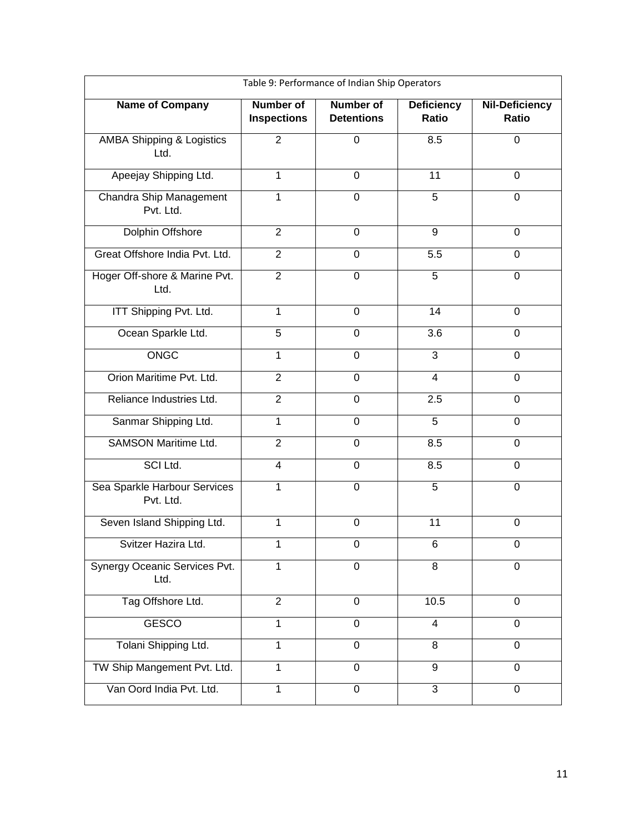| Table 9: Performance of Indian Ship Operators |                                        |                                       |                                   |                                       |  |
|-----------------------------------------------|----------------------------------------|---------------------------------------|-----------------------------------|---------------------------------------|--|
| <b>Name of Company</b>                        | <b>Number of</b><br><b>Inspections</b> | <b>Number of</b><br><b>Detentions</b> | <b>Deficiency</b><br><b>Ratio</b> | <b>Nil-Deficiency</b><br><b>Ratio</b> |  |
| <b>AMBA Shipping &amp; Logistics</b><br>Ltd.  | $\overline{2}$                         | $\mathbf 0$                           | 8.5                               | $\mathbf 0$                           |  |
| Apeejay Shipping Ltd.                         | $\mathbf{1}$                           | $\mathbf 0$                           | 11                                | $\mathbf 0$                           |  |
| Chandra Ship Management<br>Pvt. Ltd.          | 1                                      | $\mathbf 0$                           | 5                                 | $\mathbf 0$                           |  |
| Dolphin Offshore                              | $\overline{2}$                         | $\mathbf 0$                           | 9                                 | $\Omega$                              |  |
| Great Offshore India Pvt. Ltd.                | $\overline{2}$                         | $\Omega$                              | 5.5                               | $\Omega$                              |  |
| Hoger Off-shore & Marine Pvt.<br>Ltd.         | $\overline{2}$                         | $\mathbf 0$                           | 5                                 | $\mathbf 0$                           |  |
| ITT Shipping Pvt. Ltd.                        | $\mathbf{1}$                           | $\mathbf 0$                           | 14                                | $\mathbf 0$                           |  |
| Ocean Sparkle Ltd.                            | 5                                      | 0                                     | 3.6                               | $\Omega$                              |  |
| ONGC                                          | 1                                      | $\mathbf 0$                           | 3                                 | $\overline{0}$                        |  |
| Orion Maritime Pvt. Ltd.                      | $\overline{2}$                         | 0                                     | 4                                 | $\Omega$                              |  |
| Reliance Industries Ltd.                      | $\overline{2}$                         | $\mathbf 0$                           | 2.5                               | $\mathbf 0$                           |  |
| Sanmar Shipping Ltd.                          | $\mathbf{1}$                           | $\mathbf 0$                           | 5                                 | 0                                     |  |
| <b>SAMSON Maritime Ltd.</b>                   | $\overline{2}$                         | $\mathbf 0$                           | 8.5                               | $\mathbf 0$                           |  |
| SCI Ltd.                                      | 4                                      | 0                                     | 8.5                               | 0                                     |  |
| Sea Sparkle Harbour Services<br>Pvt. Ltd.     | $\mathbf 1$                            | $\mathbf 0$                           | 5                                 | 0                                     |  |
| Seven Island Shipping Ltd.                    | 1                                      | $\mathbf 0$                           | 11                                | 0                                     |  |
| Svitzer Hazira Ltd.                           | $\mathbf{1}$                           | 0                                     | 6                                 | $\mathbf 0$                           |  |
| Synergy Oceanic Services Pvt.<br>Ltd.         | 1                                      | $\mathbf 0$                           | 8                                 | 0                                     |  |
| Tag Offshore Ltd.                             | $\overline{2}$                         | $\mathbf 0$                           | 10.5                              | 0                                     |  |
| <b>GESCO</b>                                  | 1                                      | $\mathbf 0$                           | $\overline{4}$                    | 0                                     |  |
| Tolani Shipping Ltd.                          | 1                                      | $\overline{0}$                        | 8                                 | $\overline{0}$                        |  |
| TW Ship Mangement Pvt. Ltd.                   | 1                                      | 0                                     | 9                                 | 0                                     |  |
| Van Oord India Pvt. Ltd.                      | $\mathbf 1$                            | $\overline{0}$                        | 3                                 | $\mathbf 0$                           |  |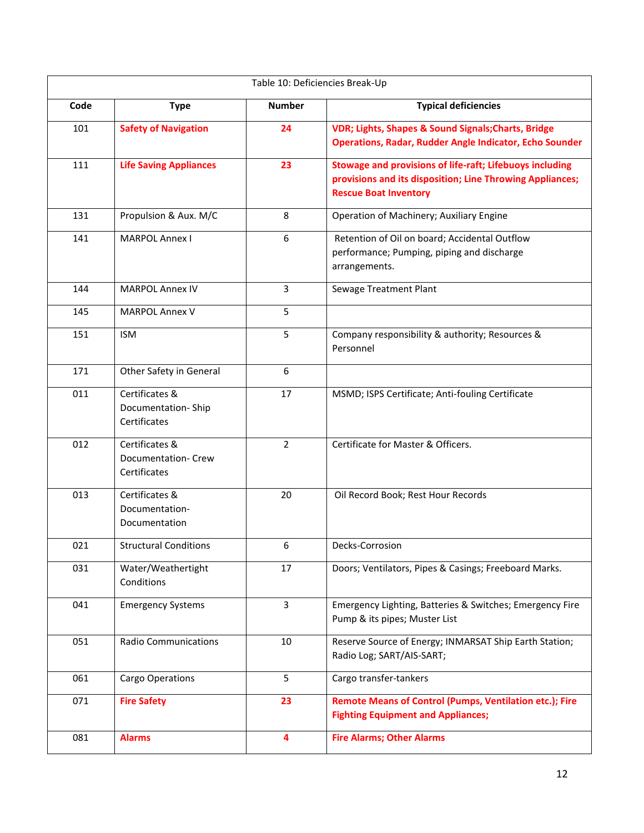|      | Table 10: Deficiencies Break-Up                       |                  |                                                                                                                                                       |  |  |  |
|------|-------------------------------------------------------|------------------|-------------------------------------------------------------------------------------------------------------------------------------------------------|--|--|--|
| Code | <b>Type</b>                                           | <b>Number</b>    | <b>Typical deficiencies</b>                                                                                                                           |  |  |  |
| 101  | <b>Safety of Navigation</b>                           | 24               | VDR; Lights, Shapes & Sound Signals; Charts, Bridge<br><b>Operations, Radar, Rudder Angle Indicator, Echo Sounder</b>                                 |  |  |  |
| 111  | <b>Life Saving Appliances</b>                         | 23               | Stowage and provisions of life-raft; Lifebuoys including<br>provisions and its disposition; Line Throwing Appliances;<br><b>Rescue Boat Inventory</b> |  |  |  |
| 131  | Propulsion & Aux. M/C                                 | 8                | Operation of Machinery; Auxiliary Engine                                                                                                              |  |  |  |
| 141  | <b>MARPOL Annex I</b>                                 | $\boldsymbol{6}$ | Retention of Oil on board; Accidental Outflow<br>performance; Pumping, piping and discharge<br>arrangements.                                          |  |  |  |
| 144  | <b>MARPOL Annex IV</b>                                | $\overline{3}$   | Sewage Treatment Plant                                                                                                                                |  |  |  |
| 145  | <b>MARPOL Annex V</b>                                 | 5                |                                                                                                                                                       |  |  |  |
| 151  | <b>ISM</b>                                            | 5                | Company responsibility & authority; Resources &<br>Personnel                                                                                          |  |  |  |
| 171  | Other Safety in General                               | 6                |                                                                                                                                                       |  |  |  |
| 011  | Certificates &<br>Documentation-Ship<br>Certificates  | 17               | MSMD; ISPS Certificate; Anti-fouling Certificate                                                                                                      |  |  |  |
| 012  | Certificates &<br>Documentation- Crew<br>Certificates | $\overline{2}$   | Certificate for Master & Officers.                                                                                                                    |  |  |  |
| 013  | Certificates &<br>Documentation-<br>Documentation     | 20               | Oil Record Book; Rest Hour Records                                                                                                                    |  |  |  |
| 021  | <b>Structural Conditions</b>                          | 6                | Decks-Corrosion                                                                                                                                       |  |  |  |
| 031  | Water/Weathertight<br>Conditions                      | 17               | Doors; Ventilators, Pipes & Casings; Freeboard Marks.                                                                                                 |  |  |  |
| 041  | <b>Emergency Systems</b>                              | 3                | Emergency Lighting, Batteries & Switches; Emergency Fire<br>Pump & its pipes; Muster List                                                             |  |  |  |
| 051  | <b>Radio Communications</b>                           | 10               | Reserve Source of Energy; INMARSAT Ship Earth Station;<br>Radio Log; SART/AIS-SART;                                                                   |  |  |  |
| 061  | Cargo Operations                                      | 5                | Cargo transfer-tankers                                                                                                                                |  |  |  |
| 071  | <b>Fire Safety</b>                                    | 23               | <b>Remote Means of Control (Pumps, Ventilation etc.); Fire</b><br><b>Fighting Equipment and Appliances;</b>                                           |  |  |  |
| 081  | <b>Alarms</b>                                         | 4                | <b>Fire Alarms; Other Alarms</b>                                                                                                                      |  |  |  |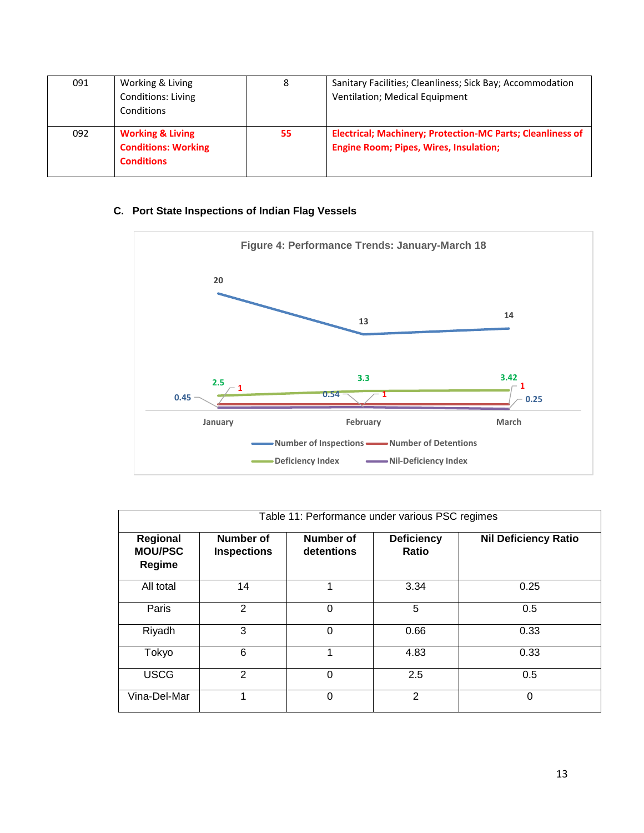| 091 | Working & Living                                                               | 8  | Sanitary Facilities; Cleanliness; Sick Bay; Accommodation                                                          |
|-----|--------------------------------------------------------------------------------|----|--------------------------------------------------------------------------------------------------------------------|
|     | <b>Conditions: Living</b>                                                      |    | Ventilation; Medical Equipment                                                                                     |
|     | Conditions                                                                     |    |                                                                                                                    |
| 092 | <b>Working &amp; Living</b><br><b>Conditions: Working</b><br><b>Conditions</b> | 55 | <b>Electrical; Machinery; Protection-MC Parts; Cleanliness of</b><br><b>Engine Room; Pipes, Wires, Insulation;</b> |

# **C. Port State Inspections of Indian Flag Vessels**



| Table 11: Performance under various PSC regimes |                                 |                         |                            |                             |
|-------------------------------------------------|---------------------------------|-------------------------|----------------------------|-----------------------------|
| Regional<br><b>MOU/PSC</b><br>Regime            | Number of<br><b>Inspections</b> | Number of<br>detentions | <b>Deficiency</b><br>Ratio | <b>Nil Deficiency Ratio</b> |
| All total                                       | 14                              |                         | 3.34                       | 0.25                        |
| Paris                                           | 2                               | 0                       | 5                          | 0.5                         |
| Riyadh                                          | 3                               | 0                       | 0.66                       | 0.33                        |
| Tokyo                                           | 6                               | 1                       | 4.83                       | 0.33                        |
| <b>USCG</b>                                     | $\overline{2}$                  | 0                       | 2.5                        | 0.5                         |
| Vina-Del-Mar                                    |                                 | 0                       | $\mathcal{P}$              | 0                           |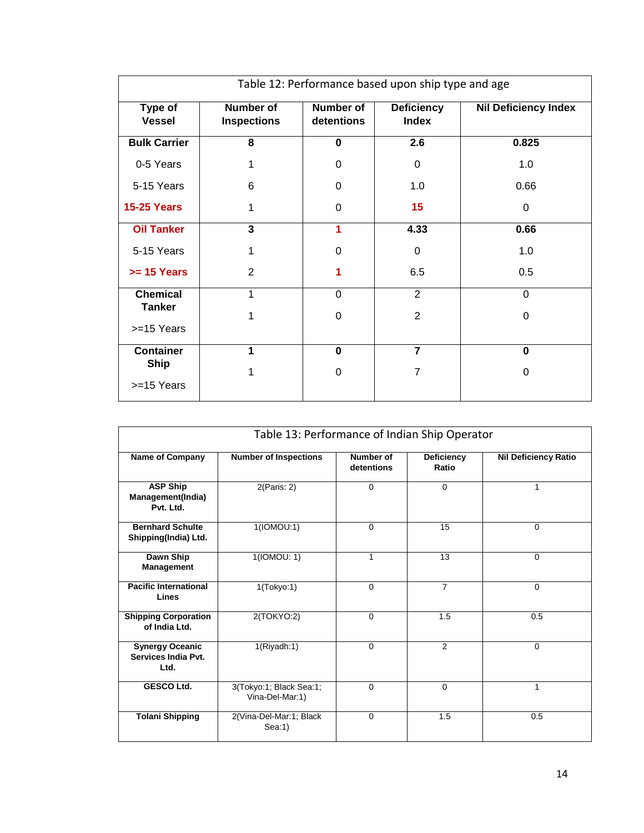| Table 12: Performance based upon ship type and age |                                        |                                |                                   |                             |
|----------------------------------------------------|----------------------------------------|--------------------------------|-----------------------------------|-----------------------------|
| Type of<br><b>Vessel</b>                           | <b>Number of</b><br><b>Inspections</b> | <b>Number of</b><br>detentions | <b>Deficiency</b><br><b>Index</b> | <b>Nil Deficiency Index</b> |
| <b>Bulk Carrier</b>                                | 8                                      | $\bf{0}$                       | 2.6                               | 0.825                       |
| 0-5 Years                                          | 1                                      | $\Omega$                       | $\Omega$                          | 1.0                         |
| 5-15 Years                                         | 6                                      | $\Omega$                       | 1.0                               | 0.66                        |
| <b>15-25 Years</b>                                 | 1                                      | $\Omega$                       | 15                                | 0                           |
| <b>Oil Tanker</b>                                  | 3                                      | 1                              | 4.33                              | 0.66                        |
| 5-15 Years                                         | 1                                      | $\Omega$                       | 0                                 | 1.0                         |
| $>= 15$ Years                                      | 2                                      | 1                              | 6.5                               | 0.5                         |
| <b>Chemical</b>                                    | 1                                      | $\Omega$                       | $\overline{2}$                    | $\mathbf 0$                 |
| <b>Tanker</b>                                      | 1                                      | $\Omega$                       | $\overline{2}$                    | 0                           |
| >=15 Years                                         |                                        |                                |                                   |                             |
| <b>Container</b>                                   | 1                                      | $\bf{0}$                       | $\overline{7}$                    | $\mathbf{0}$                |
| <b>Ship</b>                                        | 1                                      | $\Omega$                       | 7                                 | 0                           |
| >=15 Years                                         |                                        |                                |                                   |                             |

| Table 13: Performance of Indian Ship Operator         |                                            |                         |                            |                             |  |
|-------------------------------------------------------|--------------------------------------------|-------------------------|----------------------------|-----------------------------|--|
| <b>Name of Company</b>                                | <b>Number of Inspections</b>               | Number of<br>detentions | <b>Deficiency</b><br>Ratio | <b>Nil Deficiency Ratio</b> |  |
| <b>ASP Ship</b><br>Management(India)<br>Pvt. Ltd.     | 2(Paris: 2)                                | $\mathbf 0$             | $\Omega$                   | 1                           |  |
| <b>Bernhard Schulte</b><br>Shipping(India) Ltd.       | 1(IONOU:1)                                 | $\mathbf 0$             | 15                         | $\mathbf 0$                 |  |
| Dawn Ship<br>Management                               | 1(10MOU: 1)                                | 1                       | 13                         | $\mathbf 0$                 |  |
| <b>Pacific International</b><br>Lines                 | 1(Tokyo:1)                                 | $\Omega$                | $\overline{7}$             | $\Omega$                    |  |
| <b>Shipping Corporation</b><br>of India Ltd.          | 2(TOKYO:2)                                 | $\mathbf 0$             | 1.5                        | 0.5                         |  |
| <b>Synergy Oceanic</b><br>Services India Pvt.<br>Ltd. | 1(Riyadh:1)                                | $\mathbf 0$             | $\overline{2}$             | $\Omega$                    |  |
| <b>GESCO Ltd.</b>                                     | 3(Tokyo:1; Black Sea:1;<br>Vina-Del-Mar:1) | $\mathbf 0$             | $\Omega$                   | 1                           |  |
| <b>Tolani Shipping</b>                                | 2(Vina-Del-Mar:1; Black<br>Sea:1)          | $\Omega$                | 1.5                        | 0.5                         |  |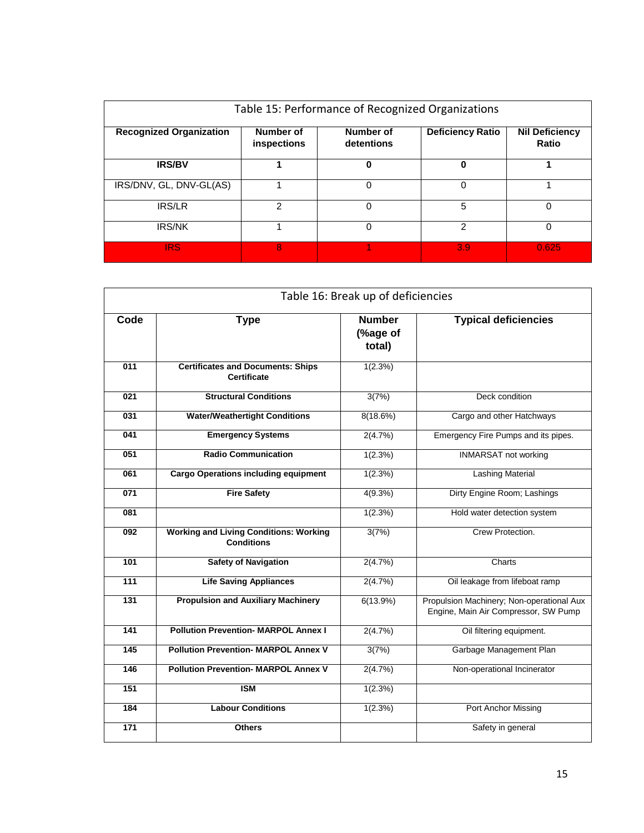| Table 15: Performance of Recognized Organizations |                          |                         |                         |                                |  |
|---------------------------------------------------|--------------------------|-------------------------|-------------------------|--------------------------------|--|
| <b>Recognized Organization</b>                    | Number of<br>inspections | Number of<br>detentions | <b>Deficiency Ratio</b> | <b>Nil Deficiency</b><br>Ratio |  |
| <b>IRS/BV</b>                                     |                          | 0                       | 0                       |                                |  |
| IRS/DNV, GL, DNV-GL(AS)                           |                          | 0                       | 0                       |                                |  |
| <b>IRS/LR</b>                                     | 2                        | 0                       | 5                       | 0                              |  |
| <b>IRS/NK</b>                                     |                          | 0                       | 2                       | 0                              |  |
| <b>IRS</b>                                        | 8                        |                         | 3.9                     | 0.625                          |  |

|                  | Table 16: Break up of deficiencies                                 |                                     |                                                                                   |  |  |
|------------------|--------------------------------------------------------------------|-------------------------------------|-----------------------------------------------------------------------------------|--|--|
| Code             | <b>Type</b>                                                        | <b>Number</b><br>(%age of<br>total) | <b>Typical deficiencies</b>                                                       |  |  |
| $\overline{011}$ | <b>Certificates and Documents: Ships</b><br><b>Certificate</b>     | 1(2.3%)                             |                                                                                   |  |  |
| $\overline{021}$ | <b>Structural Conditions</b>                                       | 3(7%)                               | Deck condition                                                                    |  |  |
| 031              | <b>Water/Weathertight Conditions</b>                               | 8(18.6%)                            | Cargo and other Hatchways                                                         |  |  |
| 041              | <b>Emergency Systems</b>                                           | 2(4.7%)                             | Emergency Fire Pumps and its pipes.                                               |  |  |
| 051              | <b>Radio Communication</b>                                         | 1(2.3%)                             | <b>INMARSAT not working</b>                                                       |  |  |
| 061              | <b>Cargo Operations including equipment</b>                        | 1(2.3%)                             | <b>Lashing Material</b>                                                           |  |  |
| 071              | <b>Fire Safety</b>                                                 | 4(9.3%)                             | Dirty Engine Room; Lashings                                                       |  |  |
| 081              |                                                                    | 1(2.3%)                             | Hold water detection system                                                       |  |  |
| 092              | <b>Working and Living Conditions: Working</b><br><b>Conditions</b> | 3(7%)                               | Crew Protection.                                                                  |  |  |
| 101              | <b>Safety of Navigation</b>                                        | 2(4.7%)                             | Charts                                                                            |  |  |
| 111              | <b>Life Saving Appliances</b>                                      | 2(4.7%)                             | Oil leakage from lifeboat ramp                                                    |  |  |
| 131              | <b>Propulsion and Auxiliary Machinery</b>                          | 6(13.9%)                            | Propulsion Machinery; Non-operational Aux<br>Engine, Main Air Compressor, SW Pump |  |  |
| 141              | <b>Pollution Prevention- MARPOL Annex I</b>                        | 2(4.7%)                             | Oil filtering equipment.                                                          |  |  |
| 145              | <b>Pollution Prevention- MARPOL Annex V</b>                        | 3(7%)                               | Garbage Management Plan                                                           |  |  |
| 146              | <b>Pollution Prevention- MARPOL Annex V</b>                        | 2(4.7%)                             | Non-operational Incinerator                                                       |  |  |
| 151              | <b>ISM</b>                                                         | 1(2.3%)                             |                                                                                   |  |  |
| 184              | <b>Labour Conditions</b>                                           | 1(2.3%)                             | Port Anchor Missing                                                               |  |  |
| $\overline{171}$ | <b>Others</b>                                                      |                                     | Safety in general                                                                 |  |  |